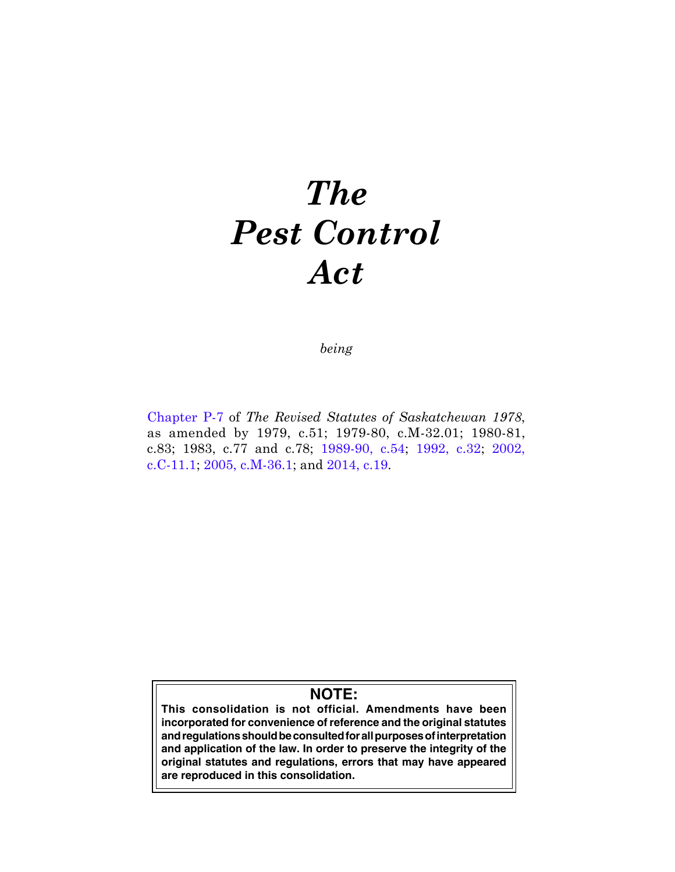# *The Pest Control Act*

*being*

[Chapter P-7](https://publications.saskatchewan.ca:443/api/v1/products/64107/formats/71376/download) of *The Revised Statutes of Saskatchewan 1978*, as amended by 1979, c.51; 1979-80, c.M-32.01; 1980-81, c.83; 1983, c.77 and c.78; [1989-90, c.54](https://publications.saskatchewan.ca:443/api/v1/products/24596/formats/31624/download); [1992, c.32](https://publications.saskatchewan.ca:443/api/v1/products/25226/formats/32575/download); [2002,](https://publications.saskatchewan.ca:443/api/v1/products/4267/formats/8124/download)  [c.C -11.1](https://publications.saskatchewan.ca:443/api/v1/products/4267/formats/8124/download); [2005, c.M-36.1;](https://publications.saskatchewan.ca:443/api/v1/products/10332/formats/15618/download) and [2014, c.19.](https://publications.saskatchewan.ca:443/api/v1/products/70697/formats/78621/download)

# **NOTE:**

**This consolidation is not official. Amendments have been incorporated for convenience of reference and the original statutes and regulations should be consulted for all purposes of interpretation and application of the law. In order to preserve the integrity of the original statutes and regulations, errors that may have appeared are reproduced in this consolidation.**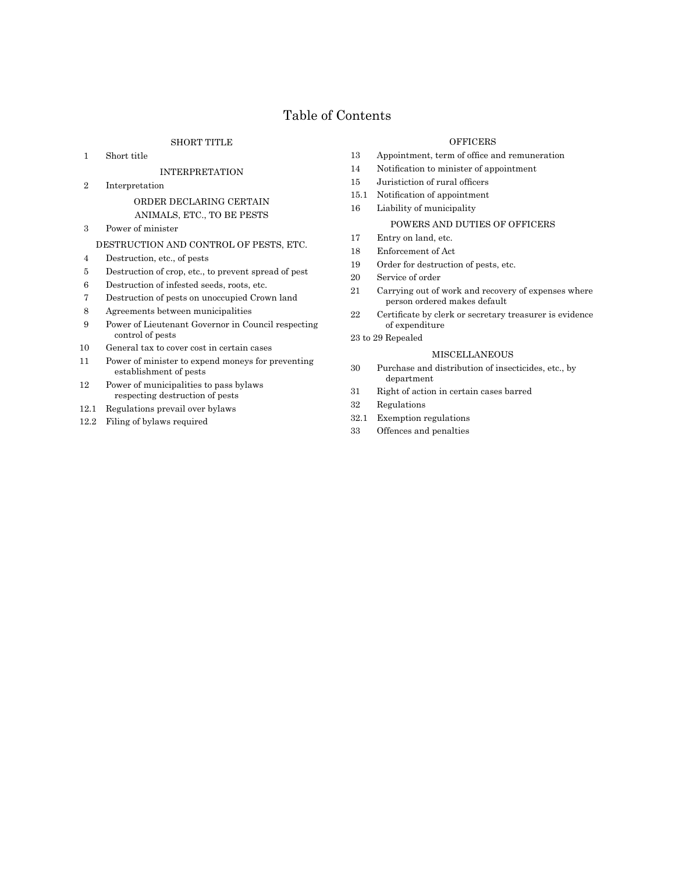# Table of Contents

# SHORT TITLE

1 Short title

#### INTERPRETATION

2 Interpretation

# ORDER DECLARING CERTAIN ANIMALS, ETC., TO BE PESTS

3 Power of minister

#### DESTRUCTION AND CONTROL OF PESTS, ETC.

- 4 Destruction, etc., of pests
- 5 Destruction of crop, etc., to prevent spread of pest
- 6 Destruction of infested seeds, roots, etc.
- 7 Destruction of pests on unoccupied Crown land
- 8 Agreements between municipalities
- 9 Power of Lieutenant Governor in Council respecting control of pests
- 10 General tax to cover cost in certain cases
- 11 Power of minister to expend moneys for preventing establishment of pests
- 12 Power of municipalities to pass bylaws respecting destruction of pests
- 12.1 Regulations prevail over bylaws
- 12.2 Filing of bylaws required

#### **OFFICERS**

- 13 Appointment, term of office and remuneration
- 14 Notification to minister of appointment
- 15 Juristiction of rural officers
- 15.1 Notification of appointment
- 16 Liability of municipality

# POWERS AND DUTIES OF OFFICERS

- 17 Entry on land, etc.
- 18 Enforcement of Act
- 19 Order for destruction of pests, etc.
- 20 Service of order
- 21 Carrying out of work and recovery of expenses where person ordered makes default
- 22 Certificate by clerk or secretary treasurer is evidence of expenditure
- 23 to 29 Repealed

#### MISCELLANEOUS

- 30 Purchase and distribution of insecticides, etc., by department
- 31 Right of action in certain cases barred
- 32 Regulations
- 32.1 Exemption regulations
- 33 Offences and penalties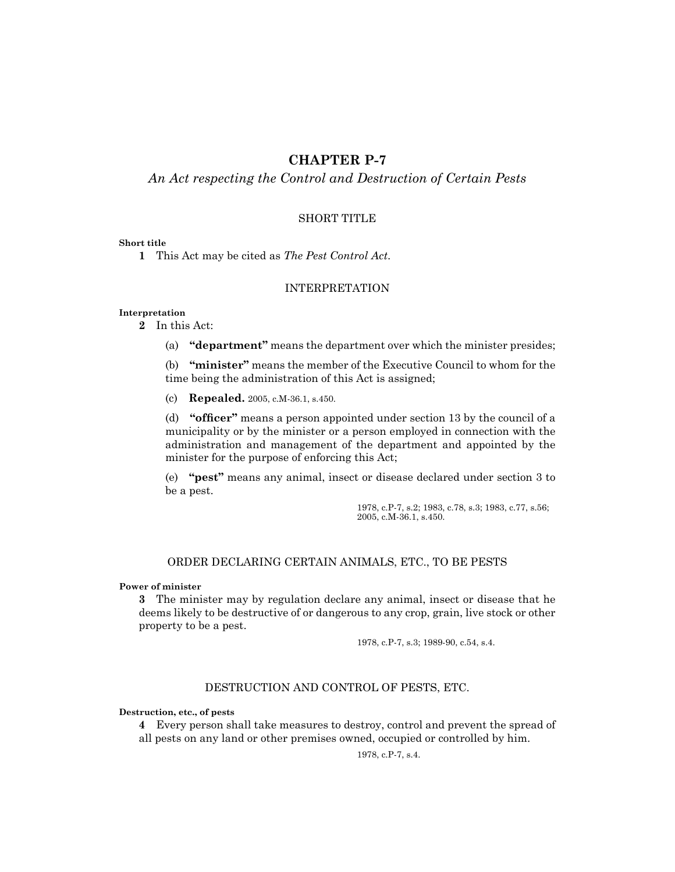# **CHAPTER P-7**

# *An Act respecting the Control and Destruction of Certain Pests*

# SHORT TITLE

# **Short title**

**1** This Act may be cited as *The Pest Control Act*.

# INTERPRETATION

#### **Interpretation**

**2** In this Act:

(a) **"department"** means the department over which the minister presides;

(b) **"minister"** means the member of the Executive Council to whom for the time being the administration of this Act is assigned;

(c) **Repealed.** 2005, c.M-36.1, s.450.

(d) **"officer"** means a person appointed under section 13 by the council of a municipality or by the minister or a person employed in connection with the administration and management of the department and appointed by the minister for the purpose of enforcing this Act;

(e) **"pest"** means any animal, insect or disease declared under section 3 to be a pest.

> 1978, c.P-7, s.2; 1983, c.78, s.3; 1983, c.77, s.56; 2005, c.M-36.1, s.450.

# ORDER DECLARING CERTAIN ANIMALS, ETC., TO BE PESTS

# **Power of minister**

**3** The minister may by regulation declare any animal, insect or disease that he deems likely to be destructive of or dangerous to any crop, grain, live stock or other property to be a pest.

1978, c.P-7, s.3; 1989-90, c.54, s.4.

# DESTRUCTION AND CONTROL OF PESTS, ETC.

#### **Destruction, etc., of pests**

**4** Every person shall take measures to destroy, control and prevent the spread of all pests on any land or other premises owned, occupied or controlled by him.

1978, c.P-7, s.4.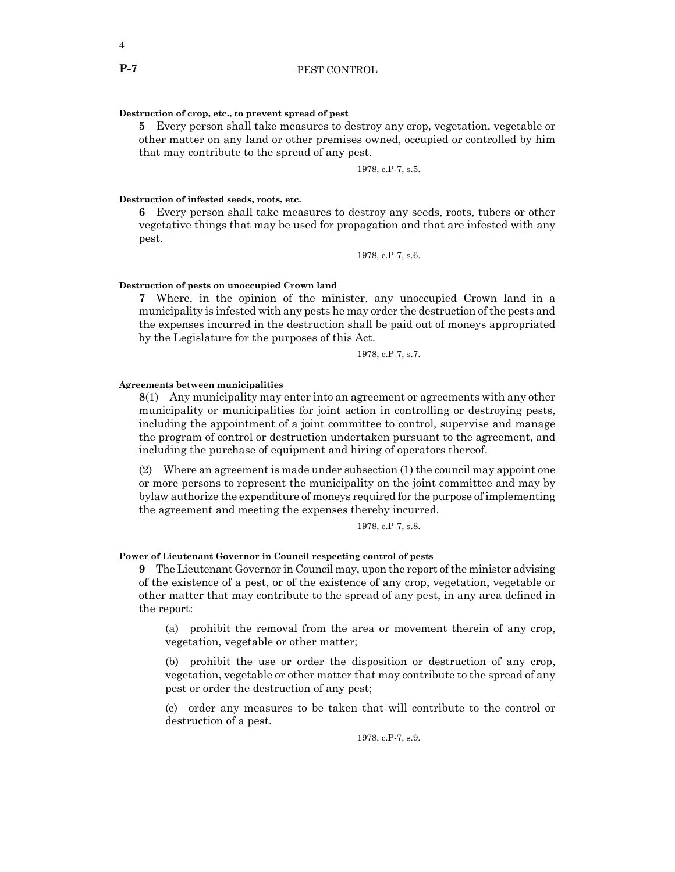#### **Destruction of crop, etc., to prevent spread of pest**

**5** Every person shall take measures to destroy any crop, vegetation, vegetable or other matter on any land or other premises owned, occupied or controlled by him that may contribute to the spread of any pest.

1978, c.P-7, s.5.

#### **Destruction of infested seeds, roots, etc.**

**6** Every person shall take measures to destroy any seeds, roots, tubers or other vegetative things that may be used for propagation and that are infested with any pest.

1978, c.P-7, s.6.

# **Destruction of pests on unoccupied Crown land**

**7** Where, in the opinion of the minister, any unoccupied Crown land in a municipality is infested with any pests he may order the destruction of the pests and the expenses incurred in the destruction shall be paid out of moneys appropriated by the Legislature for the purposes of this Act.

1978, c.P-7, s.7.

# **Agreements between municipalities**

**8**(1) Any municipality may enter into an agreement or agreements with any other municipality or municipalities for joint action in controlling or destroying pests, including the appointment of a joint committee to control, supervise and manage the program of control or destruction undertaken pursuant to the agreement, and including the purchase of equipment and hiring of operators thereof.

(2) Where an agreement is made under subsection (1) the council may appoint one or more persons to represent the municipality on the joint committee and may by bylaw authorize the expenditure of moneys required for the purpose of implementing the agreement and meeting the expenses thereby incurred.

1978, c.P-7, s.8.

#### **Power of Lieutenant Governor in Council respecting control of pests**

**9** The Lieutenant Governor in Council may, upon the report of the minister advising of the existence of a pest, or of the existence of any crop, vegetation, vegetable or other matter that may contribute to the spread of any pest, in any area defined in the report:

(a) prohibit the removal from the area or movement therein of any crop, vegetation, vegetable or other matter;

(b) prohibit the use or order the disposition or destruction of any crop, vegetation, vegetable or other matter that may contribute to the spread of any pest or order the destruction of any pest;

(c) order any measures to be taken that will contribute to the control or destruction of a pest.

1978, c.P-7, s.9.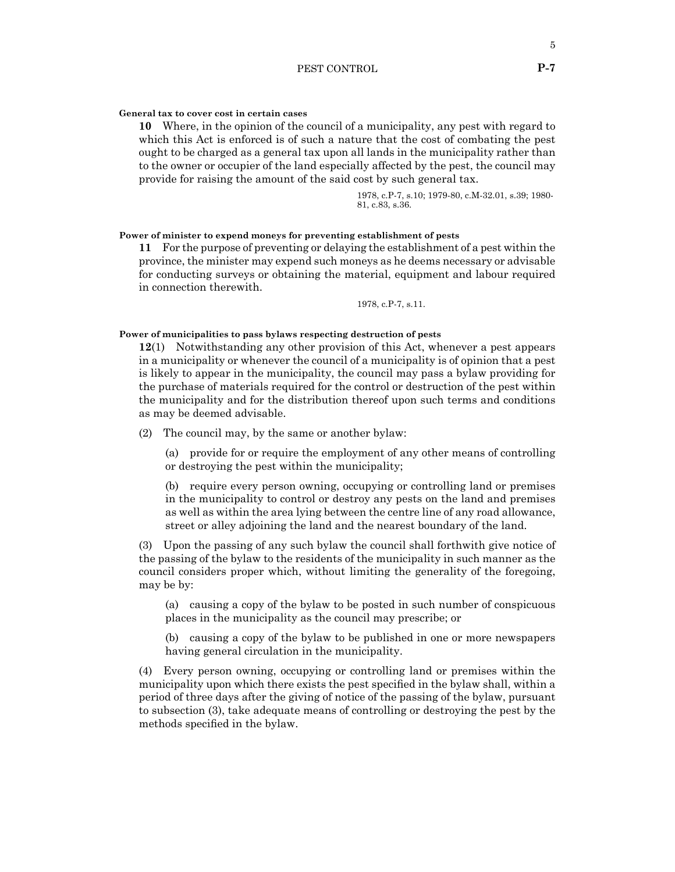#### **General tax to cover cost in certain cases**

**10** Where, in the opinion of the council of a municipality, any pest with regard to which this Act is enforced is of such a nature that the cost of combating the pest ought to be charged as a general tax upon all lands in the municipality rather than to the owner or occupier of the land especially affected by the pest, the council may provide for raising the amount of the said cost by such general tax.

> 1978, c.P-7, s.10; 1979-80, c.M-32.01, s.39; 1980- 81, c.83, s.36.

# **Power of minister to expend moneys for preventing establishment of pests**

**11** For the purpose of preventing or delaying the establishment of a pest within the province, the minister may expend such moneys as he deems necessary or advisable for conducting surveys or obtaining the material, equipment and labour required in connection therewith.

1978, c.P-7, s.11.

#### **Power of municipalities to pass bylaws respecting destruction of pests**

**12**(1) Notwithstanding any other provision of this Act, whenever a pest appears in a municipality or whenever the council of a municipality is of opinion that a pest is likely to appear in the municipality, the council may pass a bylaw providing for the purchase of materials required for the control or destruction of the pest within the municipality and for the distribution thereof upon such terms and conditions as may be deemed advisable.

(2) The council may, by the same or another bylaw:

(a) provide for or require the employment of any other means of controlling or destroying the pest within the municipality;

(b) require every person owning, occupying or controlling land or premises in the municipality to control or destroy any pests on the land and premises as well as within the area lying between the centre line of any road allowance, street or alley adjoining the land and the nearest boundary of the land.

(3) Upon the passing of any such bylaw the council shall forthwith give notice of the passing of the bylaw to the residents of the municipality in such manner as the council considers proper which, without limiting the generality of the foregoing, may be by:

(a) causing a copy of the bylaw to be posted in such number of conspicuous places in the municipality as the council may prescribe; or

(b) causing a copy of the bylaw to be published in one or more newspapers having general circulation in the municipality.

(4) Every person owning, occupying or controlling land or premises within the municipality upon which there exists the pest specified in the bylaw shall, within a period of three days after the giving of notice of the passing of the bylaw, pursuant to subsection (3), take adequate means of controlling or destroying the pest by the methods specified in the bylaw.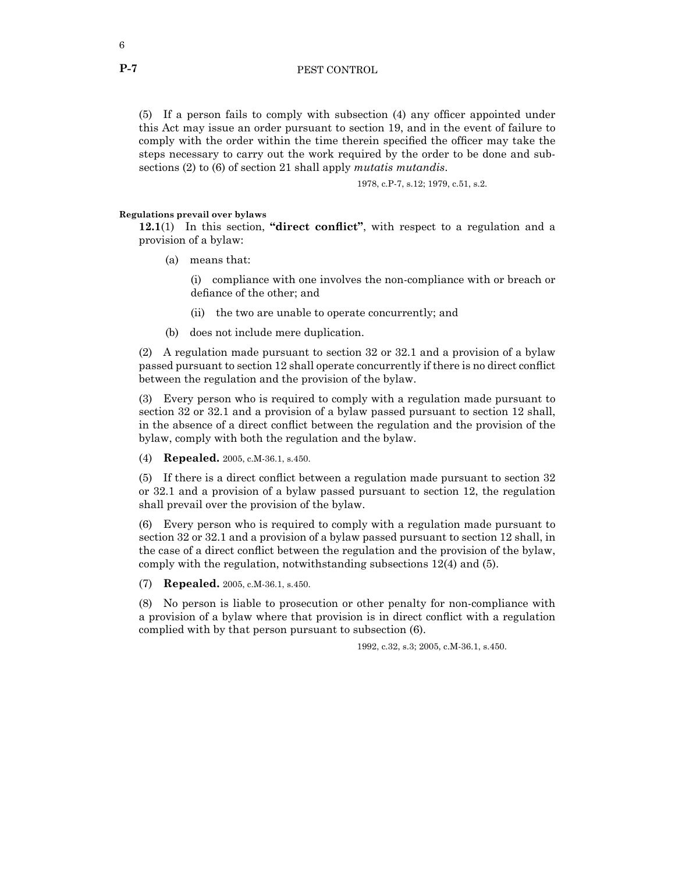(5) If a person fails to comply with subsection (4) any officer appointed under this Act may issue an order pursuant to section 19, and in the event of failure to comply with the order within the time therein specified the officer may take the steps necessary to carry out the work required by the order to be done and subsections (2) to (6) of section 21 shall apply *mutatis mutandis*.

1978, c.P-7, s.12; 1979, c.51, s.2.

## **Regulations prevail over bylaws**

**12.1**(1) In this section, **"direct conflict"**, with respect to a regulation and a provision of a bylaw:

(a) means that:

(i) compliance with one involves the non-compliance with or breach or defiance of the other; and

- (ii) the two are unable to operate concurrently; and
- (b) does not include mere duplication.

(2) A regulation made pursuant to section 32 or 32.1 and a provision of a bylaw passed pursuant to section 12 shall operate concurrently if there is no direct conflict between the regulation and the provision of the bylaw.

(3) Every person who is required to comply with a regulation made pursuant to section 32 or 32.1 and a provision of a bylaw passed pursuant to section 12 shall, in the absence of a direct conflict between the regulation and the provision of the bylaw, comply with both the regulation and the bylaw.

(4) **Repealed.** 2005, c.M-36.1, s.450.

(5) If there is a direct conflict between a regulation made pursuant to section 32 or 32.1 and a provision of a bylaw passed pursuant to section 12, the regulation shall prevail over the provision of the bylaw.

(6) Every person who is required to comply with a regulation made pursuant to section 32 or 32.1 and a provision of a bylaw passed pursuant to section 12 shall, in the case of a direct conflict between the regulation and the provision of the bylaw, comply with the regulation, notwithstanding subsections 12(4) and (5).

(7) **Repealed.** 2005, c.M-36.1, s.450.

(8) No person is liable to prosecution or other penalty for non-compliance with a provision of a bylaw where that provision is in direct conflict with a regulation complied with by that person pursuant to subsection (6).

1992, c.32, s.3; 2005, c.M-36.1, s.450.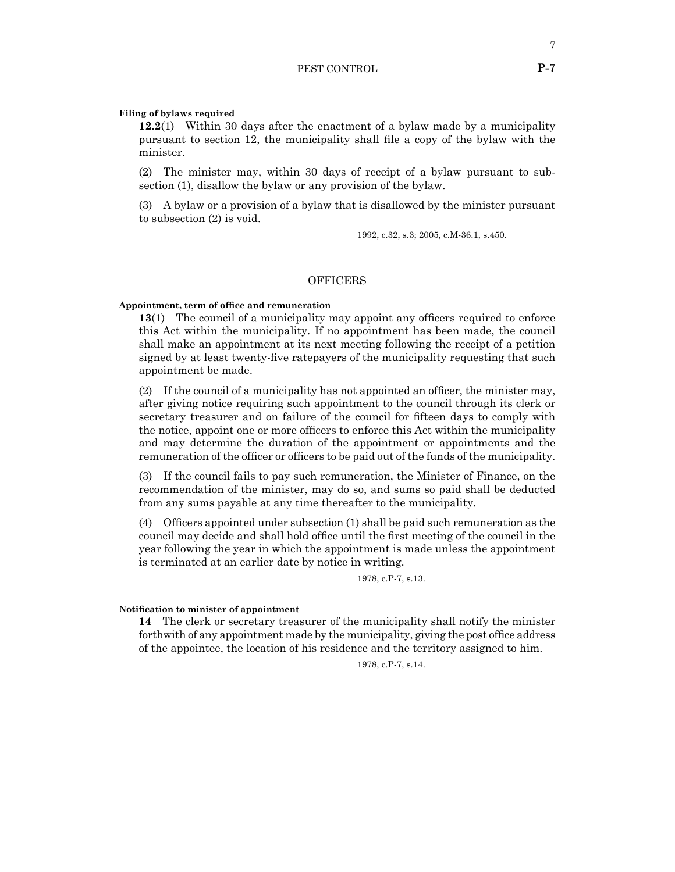#### **Filing of bylaws required**

**12.2**(1) Within 30 days after the enactment of a bylaw made by a municipality pursuant to section 12, the municipality shall file a copy of the bylaw with the minister.

(2) The minister may, within 30 days of receipt of a bylaw pursuant to subsection (1), disallow the bylaw or any provision of the bylaw.

(3) A bylaw or a provision of a bylaw that is disallowed by the minister pursuant to subsection (2) is void.

1992, c.32, s.3; 2005, c.M-36.1, s.450.

## OFFICERS

#### **Appointment, term of office and remuneration**

**13**(1) The council of a municipality may appoint any officers required to enforce this Act within the municipality. If no appointment has been made, the council shall make an appointment at its next meeting following the receipt of a petition signed by at least twenty-five ratepayers of the municipality requesting that such appointment be made.

(2) If the council of a municipality has not appointed an officer, the minister may, after giving notice requiring such appointment to the council through its clerk or secretary treasurer and on failure of the council for fifteen days to comply with the notice, appoint one or more officers to enforce this Act within the municipality and may determine the duration of the appointment or appointments and the remuneration of the officer or officers to be paid out of the funds of the municipality.

(3) If the council fails to pay such remuneration, the Minister of Finance, on the recommendation of the minister, may do so, and sums so paid shall be deducted from any sums payable at any time thereafter to the municipality.

(4) Officers appointed under subsection (1) shall be paid such remuneration as the council may decide and shall hold office until the first meeting of the council in the year following the year in which the appointment is made unless the appointment is terminated at an earlier date by notice in writing.

1978, c.P-7, s.13.

#### **Notification to minister of appointment**

**14** The clerk or secretary treasurer of the municipality shall notify the minister forthwith of any appointment made by the municipality, giving the post office address of the appointee, the location of his residence and the territory assigned to him.

1978, c.P-7, s.14.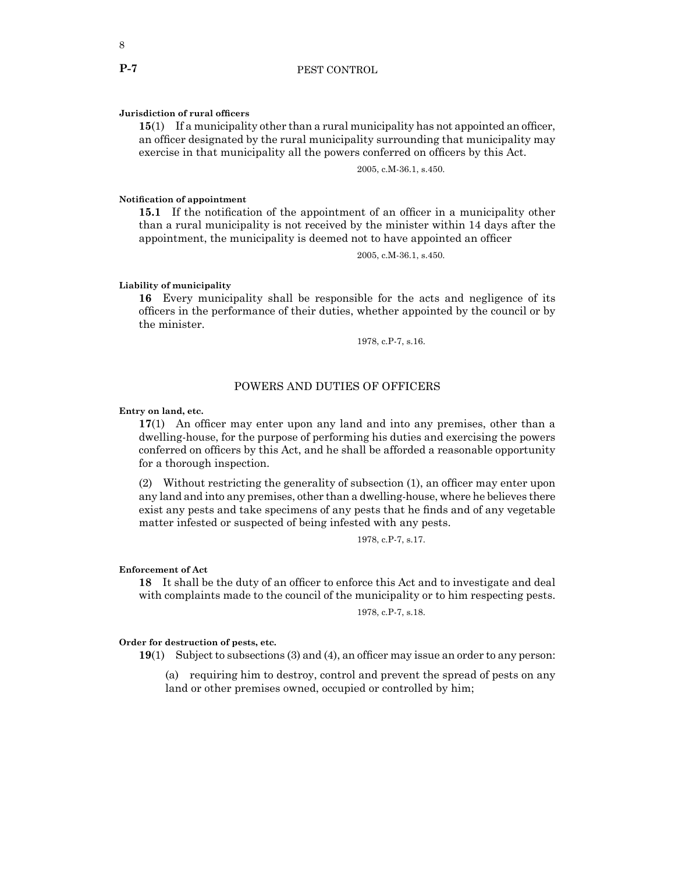#### **Jurisdiction of rural officers**

**15**(1) If a municipality other than a rural municipality has not appointed an officer, an officer designated by the rural municipality surrounding that municipality may exercise in that municipality all the powers conferred on officers by this Act.

2005, c.M-36.1, s.450.

# **Notification of appointment**

**15.1** If the notification of the appointment of an officer in a municipality other than a rural municipality is not received by the minister within 14 days after the appointment, the municipality is deemed not to have appointed an officer

2005, c.M-36.1, s.450.

# **Liability of municipality**

**16** Every municipality shall be responsible for the acts and negligence of its officers in the performance of their duties, whether appointed by the council or by the minister.

1978, c.P-7, s.16.

# POWERS AND DUTIES OF OFFICERS

#### **Entry on land, etc.**

**17**(1) An officer may enter upon any land and into any premises, other than a dwelling-house, for the purpose of performing his duties and exercising the powers conferred on officers by this Act, and he shall be afforded a reasonable opportunity for a thorough inspection.

(2) Without restricting the generality of subsection (1), an officer may enter upon any land and into any premises, other than a dwelling-house, where he believes there exist any pests and take specimens of any pests that he finds and of any vegetable matter infested or suspected of being infested with any pests.

1978, c.P-7, s.17.

#### **Enforcement of Act**

**18** It shall be the duty of an officer to enforce this Act and to investigate and deal with complaints made to the council of the municipality or to him respecting pests.

1978, c.P-7, s.18.

#### **Order for destruction of pests, etc.**

**19**(1) Subject to subsections (3) and (4), an officer may issue an order to any person:

(a) requiring him to destroy, control and prevent the spread of pests on any land or other premises owned, occupied or controlled by him;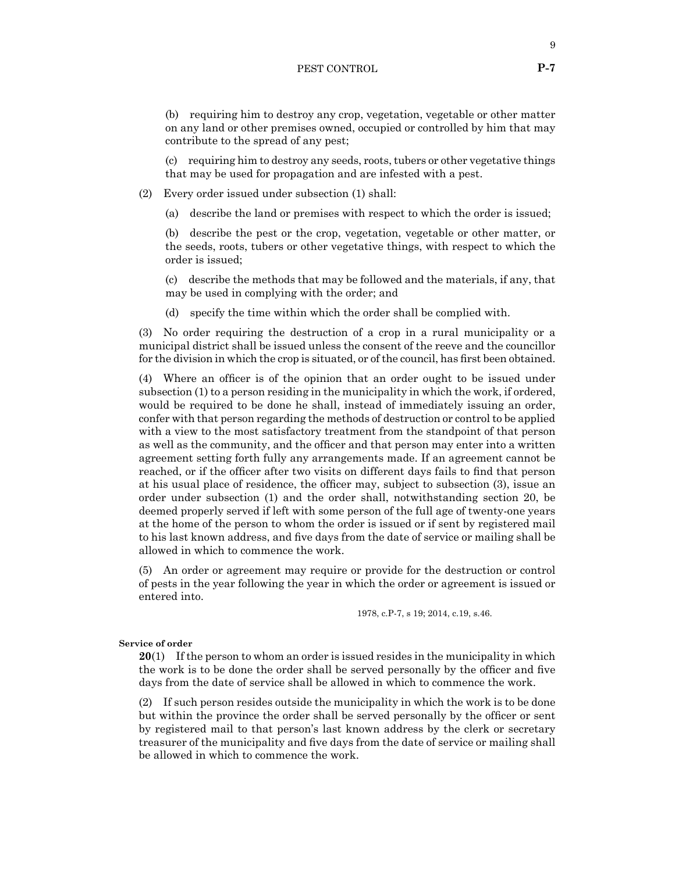# PEST CONTROL **P-7**

(b) requiring him to destroy any crop, vegetation, vegetable or other matter on any land or other premises owned, occupied or controlled by him that may contribute to the spread of any pest;

(c) requiring him to destroy any seeds, roots, tubers or other vegetative things that may be used for propagation and are infested with a pest.

(2) Every order issued under subsection (1) shall:

(a) describe the land or premises with respect to which the order is issued;

(b) describe the pest or the crop, vegetation, vegetable or other matter, or the seeds, roots, tubers or other vegetative things, with respect to which the order is issued;

(c) describe the methods that may be followed and the materials, if any, that may be used in complying with the order; and

(d) specify the time within which the order shall be complied with.

(3) No order requiring the destruction of a crop in a rural municipality or a municipal district shall be issued unless the consent of the reeve and the councillor for the division in which the crop is situated, or of the council, has first been obtained.

(4) Where an officer is of the opinion that an order ought to be issued under subsection (1) to a person residing in the municipality in which the work, if ordered, would be required to be done he shall, instead of immediately issuing an order, confer with that person regarding the methods of destruction or control to be applied with a view to the most satisfactory treatment from the standpoint of that person as well as the community, and the officer and that person may enter into a written agreement setting forth fully any arrangements made. If an agreement cannot be reached, or if the officer after two visits on different days fails to find that person at his usual place of residence, the officer may, subject to subsection (3), issue an order under subsection (1) and the order shall, notwithstanding section 20, be deemed properly served if left with some person of the full age of twenty-one years at the home of the person to whom the order is issued or if sent by registered mail to his last known address, and five days from the date of service or mailing shall be allowed in which to commence the work.

(5) An order or agreement may require or provide for the destruction or control of pests in the year following the year in which the order or agreement is issued or entered into.

1978, c.P-7, s 19; 2014, c.19, s.46.

## **Service of order**

**20**(1) If the person to whom an order is issued resides in the municipality in which the work is to be done the order shall be served personally by the officer and five days from the date of service shall be allowed in which to commence the work.

(2) If such person resides outside the municipality in which the work is to be done but within the province the order shall be served personally by the officer or sent by registered mail to that person's last known address by the clerk or secretary treasurer of the municipality and five days from the date of service or mailing shall be allowed in which to commence the work.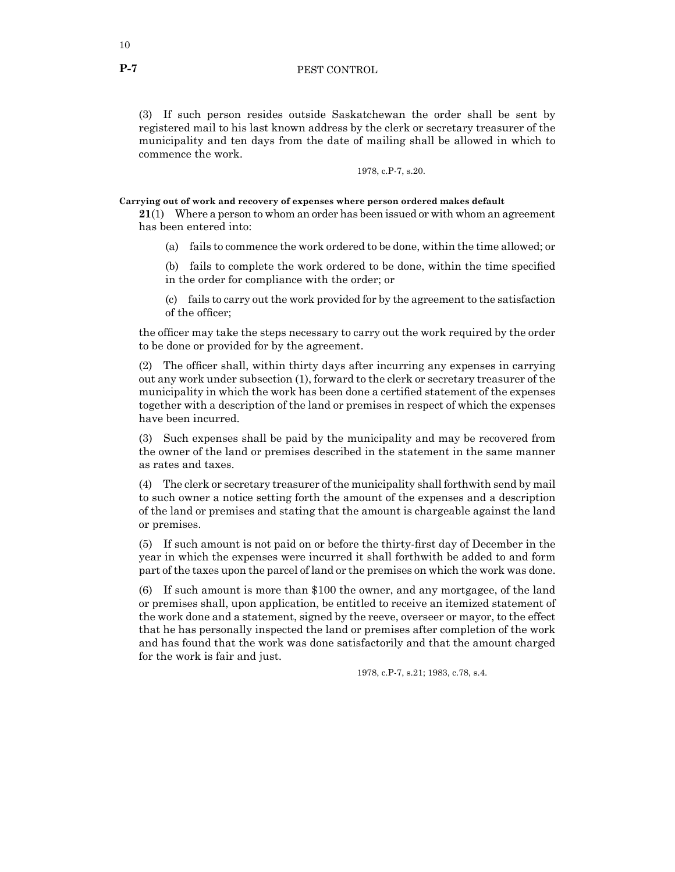(3) If such person resides outside Saskatchewan the order shall be sent by registered mail to his last known address by the clerk or secretary treasurer of the municipality and ten days from the date of mailing shall be allowed in which to commence the work.

1978, c.P-7, s.20.

**Carrying out of work and recovery of expenses where person ordered makes default**

**21**(1) Where a person to whom an order has been issued or with whom an agreement has been entered into:

(a) fails to commence the work ordered to be done, within the time allowed; or

(b) fails to complete the work ordered to be done, within the time specified in the order for compliance with the order; or

(c) fails to carry out the work provided for by the agreement to the satisfaction of the officer;

the officer may take the steps necessary to carry out the work required by the order to be done or provided for by the agreement.

(2) The officer shall, within thirty days after incurring any expenses in carrying out any work under subsection (1), forward to the clerk or secretary treasurer of the municipality in which the work has been done a certified statement of the expenses together with a description of the land or premises in respect of which the expenses have been incurred.

(3) Such expenses shall be paid by the municipality and may be recovered from the owner of the land or premises described in the statement in the same manner as rates and taxes.

(4) The clerk or secretary treasurer of the municipality shall forthwith send by mail to such owner a notice setting forth the amount of the expenses and a description of the land or premises and stating that the amount is chargeable against the land or premises.

(5) If such amount is not paid on or before the thirty-first day of December in the year in which the expenses were incurred it shall forthwith be added to and form part of the taxes upon the parcel of land or the premises on which the work was done.

(6) If such amount is more than \$100 the owner, and any mortgagee, of the land or premises shall, upon application, be entitled to receive an itemized statement of the work done and a statement, signed by the reeve, overseer or mayor, to the effect that he has personally inspected the land or premises after completion of the work and has found that the work was done satisfactorily and that the amount charged for the work is fair and just.

1978, c.P-7, s.21; 1983, c.78, s.4.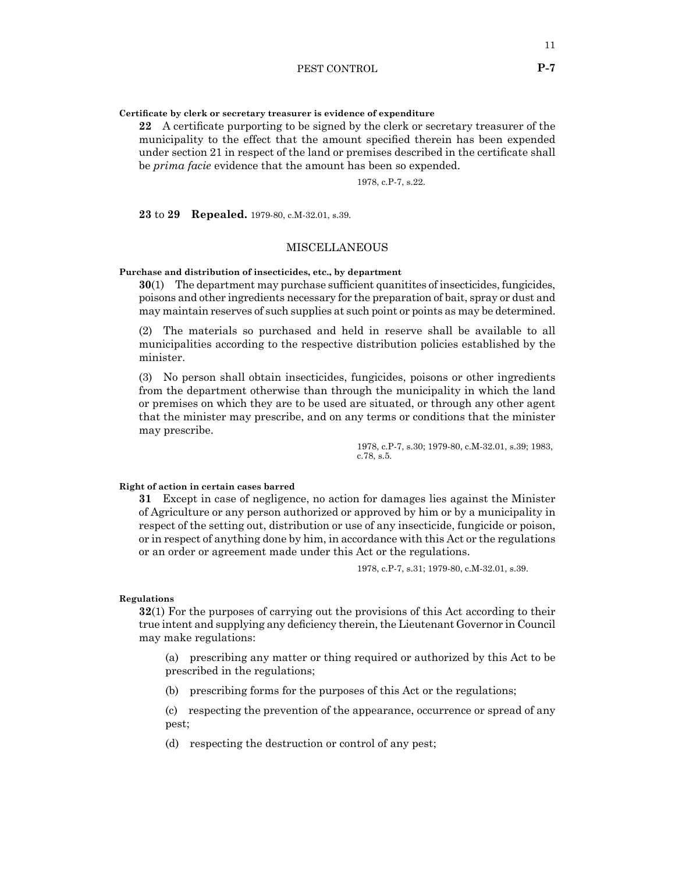**Certificate by clerk or secretary treasurer is evidence of expenditure**

**22** A certificate purporting to be signed by the clerk or secretary treasurer of the municipality to the effect that the amount specified therein has been expended under section 21 in respect of the land or premises described in the certificate shall be *prima facie* evidence that the amount has been so expended.

1978, c.P-7, s.22.

**23** to **29 Repealed.** 1979-80, c.M-32.01, s.39.

# MISCELLANEOUS

**Purchase and distribution of insecticides, etc., by department**

**30**(1) The department may purchase sufficient quanitites of insecticides, fungicides, poisons and other ingredients necessary for the preparation of bait, spray or dust and may maintain reserves of such supplies at such point or points as may be determined.

(2) The materials so purchased and held in reserve shall be available to all municipalities according to the respective distribution policies established by the minister.

(3) No person shall obtain insecticides, fungicides, poisons or other ingredients from the department otherwise than through the municipality in which the land or premises on which they are to be used are situated, or through any other agent that the minister may prescribe, and on any terms or conditions that the minister may prescribe.

> 1978, c.P-7, s.30; 1979-80, c.M-32.01, s.39; 1983, c.78, s.5.

#### **Right of action in certain cases barred**

**31** Except in case of negligence, no action for damages lies against the Minister of Agriculture or any person authorized or approved by him or by a municipality in respect of the setting out, distribution or use of any insecticide, fungicide or poison, or in respect of anything done by him, in accordance with this Act or the regulations or an order or agreement made under this Act or the regulations.

1978, c.P-7, s.31; 1979-80, c.M-32.01, s.39.

#### **Regulations**

**32**(1) For the purposes of carrying out the provisions of this Act according to their true intent and supplying any deficiency therein, the Lieutenant Governor in Council may make regulations:

(a) prescribing any matter or thing required or authorized by this Act to be prescribed in the regulations;

(b) prescribing forms for the purposes of this Act or the regulations;

(c) respecting the prevention of the appearance, occurrence or spread of any pest;

(d) respecting the destruction or control of any pest;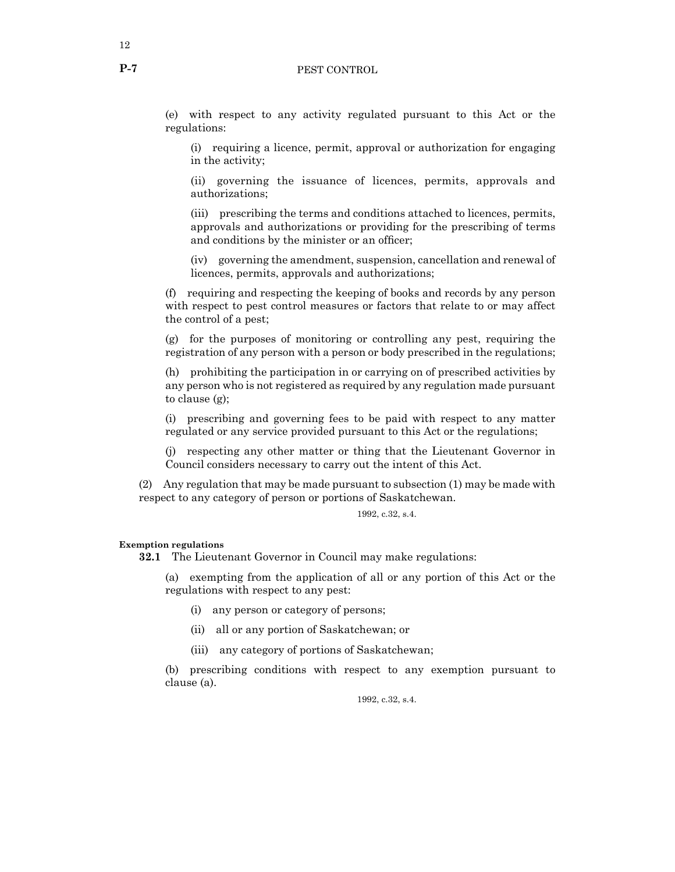# P-7 PEST CONTROL

(e) with respect to any activity regulated pursuant to this Act or the regulations:

(i) requiring a licence, permit, approval or authorization for engaging in the activity;

(ii) governing the issuance of licences, permits, approvals and authorizations;

(iii) prescribing the terms and conditions attached to licences, permits, approvals and authorizations or providing for the prescribing of terms and conditions by the minister or an officer;

(iv) governing the amendment, suspension, cancellation and renewal of licences, permits, approvals and authorizations;

(f) requiring and respecting the keeping of books and records by any person with respect to pest control measures or factors that relate to or may affect the control of a pest;

(g) for the purposes of monitoring or controlling any pest, requiring the registration of any person with a person or body prescribed in the regulations;

(h) prohibiting the participation in or carrying on of prescribed activities by any person who is not registered as required by any regulation made pursuant to clause (g);

(i) prescribing and governing fees to be paid with respect to any matter regulated or any service provided pursuant to this Act or the regulations;

(j) respecting any other matter or thing that the Lieutenant Governor in Council considers necessary to carry out the intent of this Act.

(2) Any regulation that may be made pursuant to subsection (1) may be made with respect to any category of person or portions of Saskatchewan.

1992, c.32, s.4.

**Exemption regulations**

**32.1** The Lieutenant Governor in Council may make regulations:

(a) exempting from the application of all or any portion of this Act or the regulations with respect to any pest:

(i) any person or category of persons;

(ii) all or any portion of Saskatchewan; or

(iii) any category of portions of Saskatchewan;

(b) prescribing conditions with respect to any exemption pursuant to clause (a).

1992, c.32, s.4.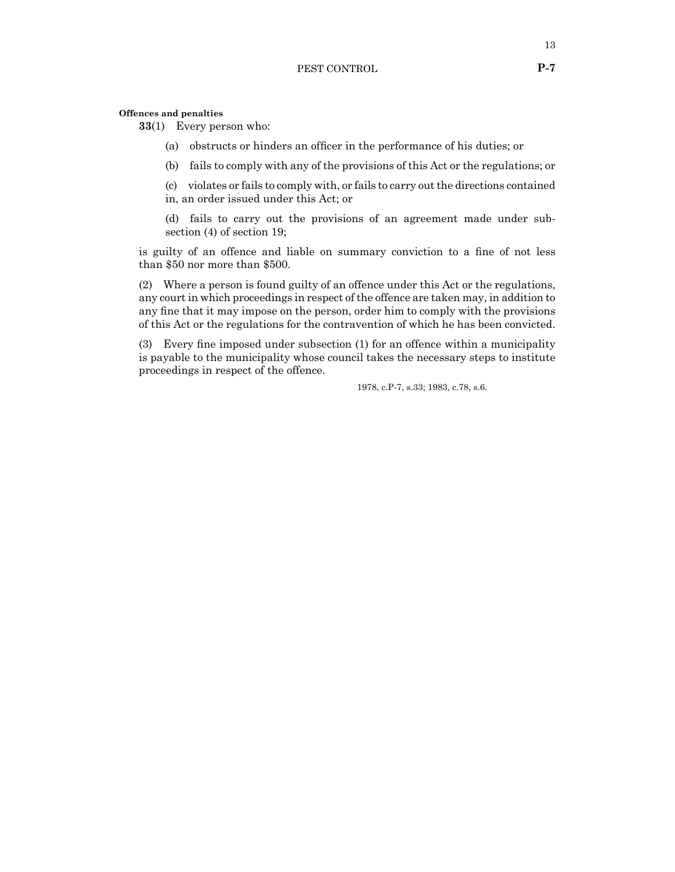#### **Offences and penalties**

**33**(1) Every person who:

- (a) obstructs or hinders an officer in the performance of his duties; or
- (b) fails to comply with any of the provisions of this Act or the regulations; or

(c) violates or fails to comply with, or fails to carry out the directions contained in, an order issued under this Act; or

(d) fails to carry out the provisions of an agreement made under subsection (4) of section 19;

is guilty of an offence and liable on summary conviction to a fine of not less than \$50 nor more than \$500.

(2) Where a person is found guilty of an offence under this Act or the regulations, any court in which proceedings in respect of the offence are taken may, in addition to any fine that it may impose on the person, order him to comply with the provisions of this Act or the regulations for the contravention of which he has been convicted.

(3) Every fine imposed under subsection (1) for an offence within a municipality is payable to the municipality whose council takes the necessary steps to institute proceedings in respect of the offence.

1978, c.P-7, s.33; 1983, c.78, s.6.